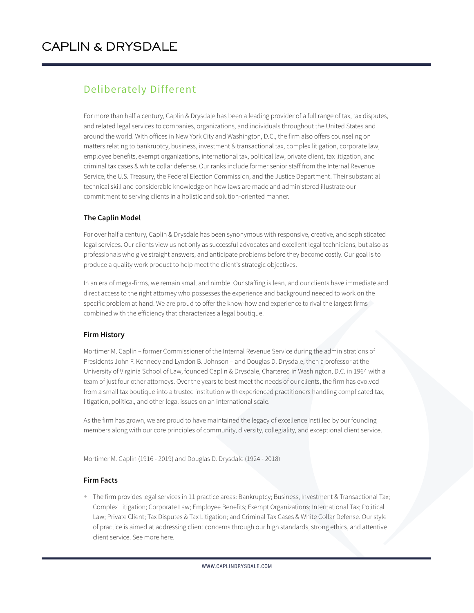## Deliberately Different

For more than half a century, Caplin & Drysdale has been a leading provider of a full range of tax, tax disputes, and related legal services to companies, organizations, and individuals throughout the United States and around the world. With offices in New York City and Washington, D.C., the firm also offers counseling on matters relating to bankruptcy, business, investment & transactional tax, complex litigation, corporate law, employee benefits, exempt organizations, international tax, political law, private client, tax litigation, and criminal tax cases & white collar defense. Our ranks include former senior staff from the Internal Revenue Service, the U.S. Treasury, the Federal Election Commission, and the Justice Department. Their substantial technical skill and considerable knowledge on how laws are made and administered illustrate our commitment to serving clients in a holistic and solution-oriented manner.

## **The Caplin Model**

For over half a century, Caplin & Drysdale has been synonymous with responsive, creative, and sophisticated legal services. Our clients view us not only as successful advocates and excellent legal technicians, but also as professionals who give straight answers, and anticipate problems before they become costly. Our goal is to produce a quality work product to help meet the client's strategic objectives.

In an era of mega-firms, we remain small and nimble. Our staffing is lean, and our clients have immediate and direct access to the right attorney who possesses the experience and background needed to work on the specific problem at hand. We are proud to offer the know-how and experience to rival the largest firms combined with the efficiency that characterizes a legal boutique.

## **Firm History**

Mortimer M. Caplin – former Commissioner of the Internal Revenue Service during the administrations of Presidents John F. Kennedy and Lyndon B. Johnson – and Douglas D. Drysdale, then a professor at the University of Virginia School of Law, founded Caplin & Drysdale, Chartered in Washington, D.C. in 1964 with a team of just four other attorneys. Over the years to best meet the needs of our clients, the firm has evolved from a small tax boutique into a trusted institution with experienced practitioners handling complicated tax, litigation, political, and other legal issues on an international scale.

As the firm has grown, we are proud to have maintained the legacy of excellence instilled by our founding members along with our core principles of community, diversity, collegiality, and exceptional client service.

Mortimer M. Caplin (1916 - 2019) and Douglas D. Drysdale (1924 - 2018)

## **Firm Facts**

● The firm provides legal services in 11 practice areas: Bankruptcy; Business, Investment & Transactional Tax; Complex Litigation; Corporate Law; Employee Benefits; Exempt Organizations; International Tax; Political Law; Private Client; Tax Disputes & Tax Litigation; and Criminal Tax Cases & White Collar Defense. Our style of practice is aimed at addressing client concerns through our high standards, strong ethics, and attentive client service. See more here.